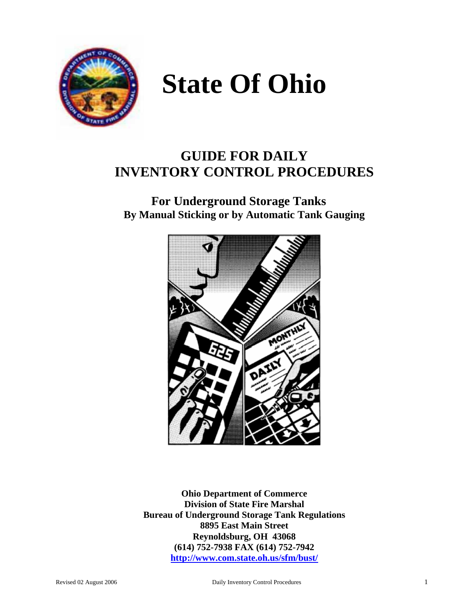

# **State Of Ohio**

# **GUIDE FOR DAILY INVENTORY CONTROL PROCEDURES**

# **For Underground Storage Tanks By Manual Sticking or by Automatic Tank Gauging**



**Ohio Department of Commerce Division of State Fire Marshal Bureau of Underground Storage Tank Regulations 8895 East Main Street Reynoldsburg, OH 43068 (614) 752-7938 FAX (614) 752-7942 http://www.com.state.oh.us/sfm/bust/**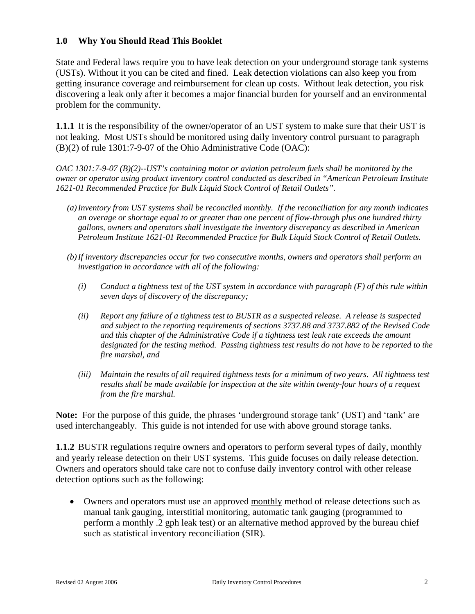#### **1.0 Why You Should Read This Booklet**

State and Federal laws require you to have leak detection on your underground storage tank systems (USTs). Without it you can be cited and fined. Leak detection violations can also keep you from getting insurance coverage and reimbursement for clean up costs. Without leak detection, you risk discovering a leak only after it becomes a major financial burden for yourself and an environmental problem for the community.

**1.1.1** It is the responsibility of the owner/operator of an UST system to make sure that their UST is not leaking. Most USTs should be monitored using daily inventory control pursuant to paragraph (B)(2) of rule 1301:7-9-07 of the Ohio Administrative Code (OAC):

*OAC 1301:7-9-07 (B)(2)--UST's containing motor or aviation petroleum fuels shall be monitored by the owner or operator using product inventory control conducted as described in "American Petroleum Institute 1621-01 Recommended Practice for Bulk Liquid Stock Control of Retail Outlets".* 

- *(a) Inventory from UST systems shall be reconciled monthly. If the reconciliation for any month indicates an overage or shortage equal to or greater than one percent of flow-through plus one hundred thirty gallons, owners and operators shall investigate the inventory discrepancy as described in American Petroleum Institute 1621-01 Recommended Practice for Bulk Liquid Stock Control of Retail Outlets.*
- *(b) If inventory discrepancies occur for two consecutive months, owners and operators shall perform an investigation in accordance with all of the following:* 
	- *(i) Conduct a tightness test of the UST system in accordance with paragraph (F) of this rule within seven days of discovery of the discrepancy;*
	- *(ii) Report any failure of a tightness test to BUSTR as a suspected release. A release is suspected and subject to the reporting requirements of sections 3737.88 and 3737.882 of the Revised Code and this chapter of the Administrative Code if a tightness test leak rate exceeds the amount designated for the testing method. Passing tightness test results do not have to be reported to the fire marshal, and*
	- *(iii) Maintain the results of all required tightness tests for a minimum of two years. All tightness test results shall be made available for inspection at the site within twenty-four hours of a request from the fire marshal.*

**Note:** For the purpose of this guide, the phrases 'underground storage tank' (UST) and 'tank' are used interchangeably. This guide is not intended for use with above ground storage tanks.

**1.1.2** BUSTR regulations require owners and operators to perform several types of daily, monthly and yearly release detection on their UST systems. This guide focuses on daily release detection. Owners and operators should take care not to confuse daily inventory control with other release detection options such as the following:

• Owners and operators must use an approved monthly method of release detections such as manual tank gauging, interstitial monitoring, automatic tank gauging (programmed to perform a monthly .2 gph leak test) or an alternative method approved by the bureau chief such as statistical inventory reconciliation (SIR).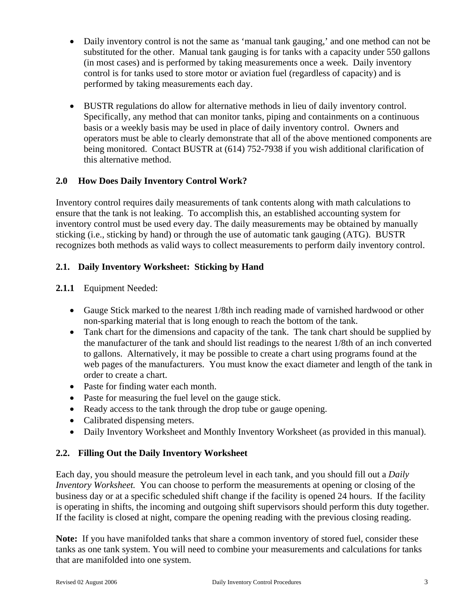- Daily inventory control is not the same as 'manual tank gauging,' and one method can not be substituted for the other. Manual tank gauging is for tanks with a capacity under 550 gallons (in most cases) and is performed by taking measurements once a week. Daily inventory control is for tanks used to store motor or aviation fuel (regardless of capacity) and is performed by taking measurements each day.
- BUSTR regulations do allow for alternative methods in lieu of daily inventory control. Specifically, any method that can monitor tanks, piping and containments on a continuous basis or a weekly basis may be used in place of daily inventory control. Owners and operators must be able to clearly demonstrate that all of the above mentioned components are being monitored. Contact BUSTR at (614) 752-7938 if you wish additional clarification of this alternative method.

# **2.0 How Does Daily Inventory Control Work?**

Inventory control requires daily measurements of tank contents along with math calculations to ensure that the tank is not leaking. To accomplish this, an established accounting system for inventory control must be used every day. The daily measurements may be obtained by manually sticking (i.e., sticking by hand) or through the use of automatic tank gauging (ATG). BUSTR recognizes both methods as valid ways to collect measurements to perform daily inventory control.

# **2.1. Daily Inventory Worksheet: Sticking by Hand**

## **2.1.1** Equipment Needed:

- Gauge Stick marked to the nearest 1/8th inch reading made of varnished hardwood or other non-sparking material that is long enough to reach the bottom of the tank.
- Tank chart for the dimensions and capacity of the tank. The tank chart should be supplied by the manufacturer of the tank and should list readings to the nearest 1/8th of an inch converted to gallons. Alternatively, it may be possible to create a chart using programs found at the web pages of the manufacturers. You must know the exact diameter and length of the tank in order to create a chart.
- Paste for finding water each month.
- Paste for measuring the fuel level on the gauge stick.
- Ready access to the tank through the drop tube or gauge opening.
- Calibrated dispensing meters.
- Daily Inventory Worksheet and Monthly Inventory Worksheet (as provided in this manual).

## **2.2. Filling Out the Daily Inventory Worksheet**

Each day, you should measure the petroleum level in each tank, and you should fill out a *Daily Inventory Worksheet.* You can choose to perform the measurements at opening or closing of the business day or at a specific scheduled shift change if the facility is opened 24 hours. If the facility is operating in shifts, the incoming and outgoing shift supervisors should perform this duty together. If the facility is closed at night, compare the opening reading with the previous closing reading.

**Note:** If you have manifolded tanks that share a common inventory of stored fuel, consider these tanks as one tank system. You will need to combine your measurements and calculations for tanks that are manifolded into one system.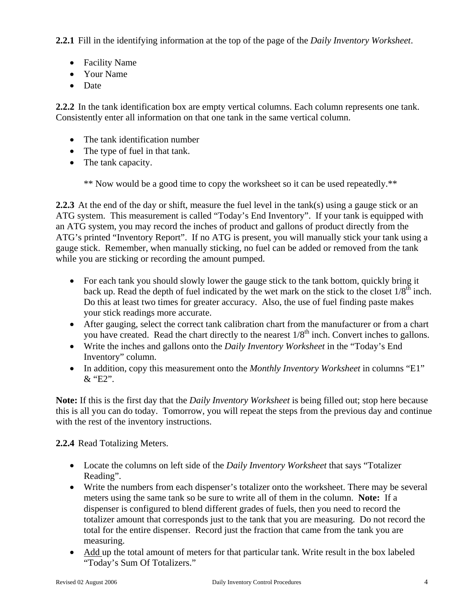**2.2.1** Fill in the identifying information at the top of the page of the *Daily Inventory Worksheet*.

- Facility Name
- Your Name
- Date

**2.2.2** In the tank identification box are empty vertical columns. Each column represents one tank. Consistently enter all information on that one tank in the same vertical column.

- The tank identification number
- The type of fuel in that tank.
- The tank capacity.

\*\* Now would be a good time to copy the worksheet so it can be used repeatedly.\*\*

**2.2.3** At the end of the day or shift, measure the fuel level in the tank(s) using a gauge stick or an ATG system. This measurement is called "Today's End Inventory". If your tank is equipped with an ATG system, you may record the inches of product and gallons of product directly from the ATG's printed "Inventory Report". If no ATG is present, you will manually stick your tank using a gauge stick. Remember, when manually sticking, no fuel can be added or removed from the tank while you are sticking or recording the amount pumped.

- For each tank you should slowly lower the gauge stick to the tank bottom, quickly bring it back up. Read the depth of fuel indicated by the wet mark on the stick to the closet  $1/8^{th}$  inch. Do this at least two times for greater accuracy. Also, the use of fuel finding paste makes your stick readings more accurate.
- After gauging, select the correct tank calibration chart from the manufacturer or from a chart you have created. Read the chart directly to the nearest  $1/8<sup>th</sup>$  inch. Convert inches to gallons.
- Write the inches and gallons onto the *Daily Inventory Worksheet* in the "Today's End Inventory" column.
- In addition, copy this measurement onto the *Monthly Inventory Worksheet* in columns "E1"  $\&$  "E2".

**Note:** If this is the first day that the *Daily Inventory Worksheet* is being filled out; stop here because this is all you can do today. Tomorrow, you will repeat the steps from the previous day and continue with the rest of the inventory instructions.

## **2.2.4** Read Totalizing Meters.

- Locate the columns on left side of the *Daily Inventory Worksheet* that says "Totalizer Reading".
- Write the numbers from each dispenser's totalizer onto the worksheet. There may be several meters using the same tank so be sure to write all of them in the column. **Note:** If a dispenser is configured to blend different grades of fuels, then you need to record the totalizer amount that corresponds just to the tank that you are measuring. Do not record the total for the entire dispenser. Record just the fraction that came from the tank you are measuring.
- Add up the total amount of meters for that particular tank. Write result in the box labeled "Today's Sum Of Totalizers."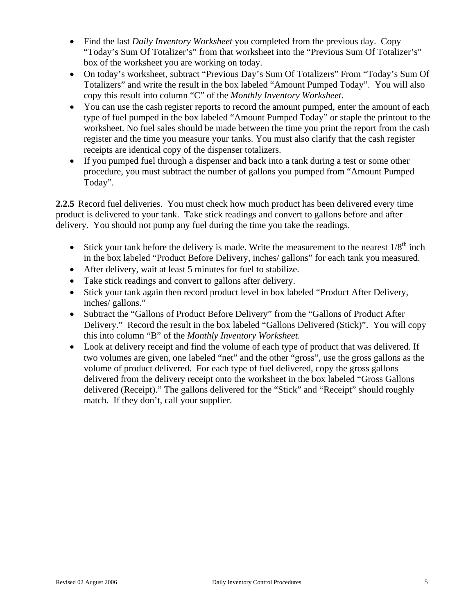- Find the last *Daily Inventory Worksheet* you completed from the previous day. Copy "Today's Sum Of Totalizer's" from that worksheet into the "Previous Sum Of Totalizer's" box of the worksheet you are working on today.
- On today's worksheet, subtract "Previous Day's Sum Of Totalizers" From "Today's Sum Of Totalizers" and write the result in the box labeled "Amount Pumped Today". You will also copy this result into column "C" of the *Monthly Inventory Worksheet*.
- You can use the cash register reports to record the amount pumped, enter the amount of each type of fuel pumped in the box labeled "Amount Pumped Today" or staple the printout to the worksheet. No fuel sales should be made between the time you print the report from the cash register and the time you measure your tanks. You must also clarify that the cash register receipts are identical copy of the dispenser totalizers.
- If you pumped fuel through a dispenser and back into a tank during a test or some other procedure, you must subtract the number of gallons you pumped from "Amount Pumped Today".

**2.2.5** Record fuel deliveries. You must check how much product has been delivered every time product is delivered to your tank. Take stick readings and convert to gallons before and after delivery. You should not pump any fuel during the time you take the readings.

- Stick your tank before the delivery is made. Write the measurement to the nearest  $1/8<sup>th</sup>$  inch in the box labeled "Product Before Delivery, inches/ gallons" for each tank you measured.
- After delivery, wait at least 5 minutes for fuel to stabilize.
- Take stick readings and convert to gallons after delivery.
- Stick your tank again then record product level in box labeled "Product After Delivery, inches/ gallons."
- Subtract the "Gallons of Product Before Delivery" from the "Gallons of Product After Delivery." Record the result in the box labeled "Gallons Delivered (Stick)". You will copy this into column "B" of the *Monthly Inventory Worksheet*.
- Look at delivery receipt and find the volume of each type of product that was delivered. If two volumes are given, one labeled "net" and the other "gross", use the gross gallons as the volume of product delivered. For each type of fuel delivered, copy the gross gallons delivered from the delivery receipt onto the worksheet in the box labeled "Gross Gallons delivered (Receipt)." The gallons delivered for the "Stick" and "Receipt" should roughly match. If they don't, call your supplier.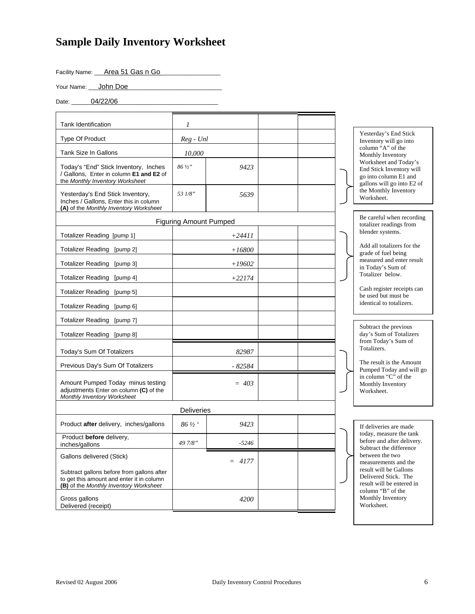# **Sample Daily Inventory Worksheet**

Facility Name: <u>Area 51 Gas n Go</u>

Your Name: **\_\_\_\_ John Doe\_** 

Date: \_\_\_\_\_\_\_04/22/06\_

| <b>Tank Identification</b>                                                                                                        | 1                             |          |  |                                                                                                          |  |  |
|-----------------------------------------------------------------------------------------------------------------------------------|-------------------------------|----------|--|----------------------------------------------------------------------------------------------------------|--|--|
| <b>Type Of Product</b>                                                                                                            | $Reg$ - $Unl$                 |          |  | Yesterday's End Stick<br>Inventory will go into                                                          |  |  |
| Tank Size In Gallons                                                                                                              | 10.000                        |          |  | column "A" of the<br>Monthly Inventory                                                                   |  |  |
| Today's "End" Stick Inventory, Inches<br>/ Gallons. Enter in column E1 and E2 of<br>the Monthly Inventory Worksheet               | $86\frac{1}{2}$ "             | 9423     |  | Worksheet and Today's<br>End Stick Inventory will<br>go into column E1 and<br>gallons will go into E2 of |  |  |
| Yesterday's End Stick Inventory,<br>Inches / Gallons, Enter this in column<br>(A) of the Monthly Inventory Worksheet              | 53 1/8"                       | 5639     |  | the Monthly Inventory<br>Worksheet.                                                                      |  |  |
|                                                                                                                                   | <b>Figuring Amount Pumped</b> |          |  | Be careful when recording<br>totalizer readings from                                                     |  |  |
| Totalizer Reading [pump 1]                                                                                                        |                               | $+24411$ |  | blender systems.                                                                                         |  |  |
| Totalizer Reading [pump 2]                                                                                                        |                               | $+16800$ |  | Add all totalizers for the<br>grade of fuel being                                                        |  |  |
| Totalizer Reading [pump 3]                                                                                                        |                               | $+19602$ |  | measured and enter result<br>in Today's Sum of                                                           |  |  |
| Totalizer Reading [pump 4]                                                                                                        |                               | $+22174$ |  | Totalizer below.                                                                                         |  |  |
| Totalizer Reading [pump 5]                                                                                                        |                               |          |  | Cash register receipts can<br>be used but must be                                                        |  |  |
| Totalizer Reading [pump 6]                                                                                                        |                               |          |  | identical to totalizers.                                                                                 |  |  |
| Totalizer Reading [pump 7]                                                                                                        |                               |          |  |                                                                                                          |  |  |
| Totalizer Reading [pump 8]                                                                                                        |                               |          |  | Subtract the previous<br>day's Sum of Totalizers                                                         |  |  |
| Today's Sum Of Totalizers                                                                                                         |                               | 82987    |  | from Today's Sum of<br>Totalizers.                                                                       |  |  |
| Previous Day's Sum Of Totalizers                                                                                                  |                               | $-82584$ |  | The result is the Amount<br>Pumped Today and will go                                                     |  |  |
| Amount Pumped Today minus testing<br>adjustments Enter on column (C) of the<br>Monthly Inventory Worksheet                        |                               | $= 403$  |  | in column "C" of the<br>Monthly Inventory<br>Worksheet.                                                  |  |  |
|                                                                                                                                   | <b>Deliveries</b>             |          |  |                                                                                                          |  |  |
| Product after delivery, inches/gallons                                                                                            | 86 1/2 '                      | 9423     |  | If deliveries are made                                                                                   |  |  |
| Product before delivery,<br>inches/gallons                                                                                        | 49 7/8"<br>-5246              |          |  | today, measure the tank<br>before and after delivery.<br>Subtract the difference                         |  |  |
| Gallons delivered (Stick)                                                                                                         |                               | $= 4177$ |  | between the two<br>measurements and the                                                                  |  |  |
| Subtract gallons before from gallons after<br>to get this amount and enter it in column<br>(B) of the Monthly Inventory Worksheet |                               |          |  | result will be Gallons<br>Delivered Stick. The<br>result will be entered in                              |  |  |
| Gross gallons<br>Delivered (receipt)                                                                                              |                               | 4200     |  | column "B" of the<br>Monthly Inventory<br>Worksheet.                                                     |  |  |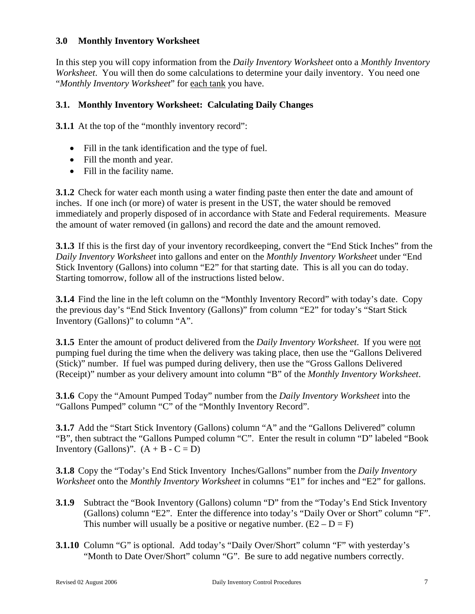#### **3.0 Monthly Inventory Worksheet**

In this step you will copy information from the *Daily Inventory Worksheet* onto a *Monthly Inventory Worksheet*. You will then do some calculations to determine your daily inventory. You need one "*Monthly Inventory Worksheet*" for each tank you have.

#### **3.1. Monthly Inventory Worksheet: Calculating Daily Changes**

**3.1.1** At the top of the "monthly inventory record":

- Fill in the tank identification and the type of fuel.
- Fill the month and year.
- Fill in the facility name.

**3.1.2** Check for water each month using a water finding paste then enter the date and amount of inches. If one inch (or more) of water is present in the UST, the water should be removed immediately and properly disposed of in accordance with State and Federal requirements. Measure the amount of water removed (in gallons) and record the date and the amount removed.

**3.1.3** If this is the first day of your inventory recordkeeping, convert the "End Stick Inches" from the *Daily Inventory Worksheet* into gallons and enter on the *Monthly Inventory Worksheet* under "End Stick Inventory (Gallons) into column "E2" for that starting date. This is all you can do today. Starting tomorrow, follow all of the instructions listed below.

**3.1.4** Find the line in the left column on the "Monthly Inventory Record" with today's date. Copy the previous day's "End Stick Inventory (Gallons)" from column "E2" for today's "Start Stick Inventory (Gallons)" to column "A".

**3.1.5** Enter the amount of product delivered from the *Daily Inventory Worksheet*. If you were not pumping fuel during the time when the delivery was taking place, then use the "Gallons Delivered (Stick)" number. If fuel was pumped during delivery, then use the "Gross Gallons Delivered (Receipt)" number as your delivery amount into column "B" of the *Monthly Inventory Worksheet*.

**3.1.6** Copy the "Amount Pumped Today" number from the *Daily Inventory Worksheet* into the "Gallons Pumped" column "C" of the "Monthly Inventory Record".

**3.1.7** Add the "Start Stick Inventory (Gallons) column "A" and the "Gallons Delivered" column "B", then subtract the "Gallons Pumped column "C". Enter the result in column "D" labeled "Book Inventory (Gallons)".  $(A + B - C = D)$ 

**3.1.8** Copy the "Today's End Stick Inventory Inches/Gallons" number from the *Daily Inventory Worksheet* onto the *Monthly Inventory Worksheet* in columns "E1" for inches and "E2" for gallons.

- **3.1.9** Subtract the "Book Inventory (Gallons) column "D" from the "Today's End Stick Inventory (Gallons) column "E2". Enter the difference into today's "Daily Over or Short" column "F". This number will usually be a positive or negative number.  $(E2 - D = F)$
- **3.1.10** Column "G" is optional. Add today's "Daily Over/Short" column "F" with yesterday's "Month to Date Over/Short" column "G". Be sure to add negative numbers correctly.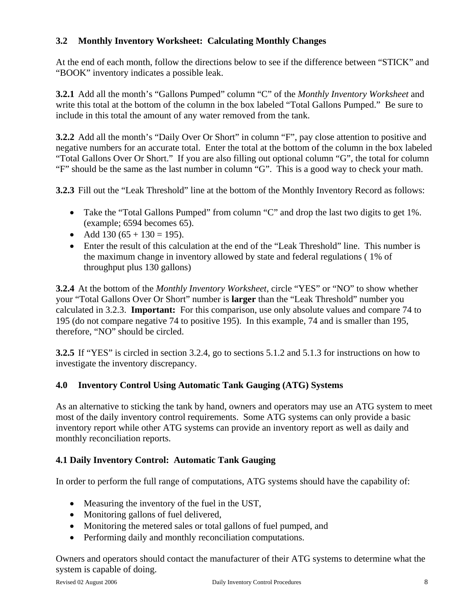# **3.2 Monthly Inventory Worksheet: Calculating Monthly Changes**

At the end of each month, follow the directions below to see if the difference between "STICK" and "BOOK" inventory indicates a possible leak.

**3.2.1** Add all the month's "Gallons Pumped" column "C" of the *Monthly Inventory Worksheet* and write this total at the bottom of the column in the box labeled "Total Gallons Pumped." Be sure to include in this total the amount of any water removed from the tank.

**3.2.2** Add all the month's "Daily Over Or Short" in column "F", pay close attention to positive and negative numbers for an accurate total. Enter the total at the bottom of the column in the box labeled "Total Gallons Over Or Short." If you are also filling out optional column "G", the total for column "F" should be the same as the last number in column "G". This is a good way to check your math.

**3.2.3** Fill out the "Leak Threshold" line at the bottom of the Monthly Inventory Record as follows:

- Take the "Total Gallons Pumped" from column "C" and drop the last two digits to get 1%. (example; 6594 becomes 65).
- Add  $130 (65 + 130 = 195)$ .
- Enter the result of this calculation at the end of the "Leak Threshold" line. This number is the maximum change in inventory allowed by state and federal regulations ( 1% of throughput plus 130 gallons)

**3.2.4** At the bottom of the *Monthly Inventory Worksheet*, circle "YES" or "NO" to show whether your "Total Gallons Over Or Short" number is **larger** than the "Leak Threshold" number you calculated in 3.2.3. **Important:** For this comparison, use only absolute values and compare 74 to 195 (do not compare negative 74 to positive 195). In this example, 74 and is smaller than 195, therefore, "NO" should be circled.

**3.2.5** If "YES" is circled in section 3.2.4, go to sections 5.1.2 and 5.1.3 for instructions on how to investigate the inventory discrepancy.

## **4.0 Inventory Control Using Automatic Tank Gauging (ATG) Systems**

As an alternative to sticking the tank by hand, owners and operators may use an ATG system to meet most of the daily inventory control requirements. Some ATG systems can only provide a basic inventory report while other ATG systems can provide an inventory report as well as daily and monthly reconciliation reports.

## **4.1 Daily Inventory Control: Automatic Tank Gauging**

In order to perform the full range of computations, ATG systems should have the capability of:

- Measuring the inventory of the fuel in the UST,
- Monitoring gallons of fuel delivered,
- Monitoring the metered sales or total gallons of fuel pumped, and
- Performing daily and monthly reconciliation computations.

Owners and operators should contact the manufacturer of their ATG systems to determine what the system is capable of doing.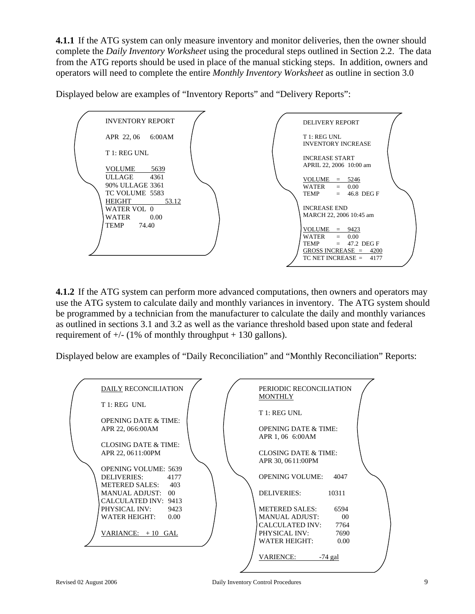**4.1.1** If the ATG system can only measure inventory and monitor deliveries, then the owner should complete the *Daily Inventory Worksheet* using the procedural steps outlined in Section 2.2. The data from the ATG reports should be used in place of the manual sticking steps. In addition, owners and operators will need to complete the entire *Monthly Inventory Worksheet* as outline in section 3.0

Displayed below are examples of "Inventory Reports" and "Delivery Reports":



**4.1.2** If the ATG system can perform more advanced computations, then owners and operators may use the ATG system to calculate daily and monthly variances in inventory. The ATG system should be programmed by a technician from the manufacturer to calculate the daily and monthly variances as outlined in sections 3.1 and 3.2 as well as the variance threshold based upon state and federal requirement of  $+/-$  (1% of monthly throughput  $+$  130 gallons).

Displayed below are examples of "Daily Reconciliation" and "Monthly Reconciliation" Reports:

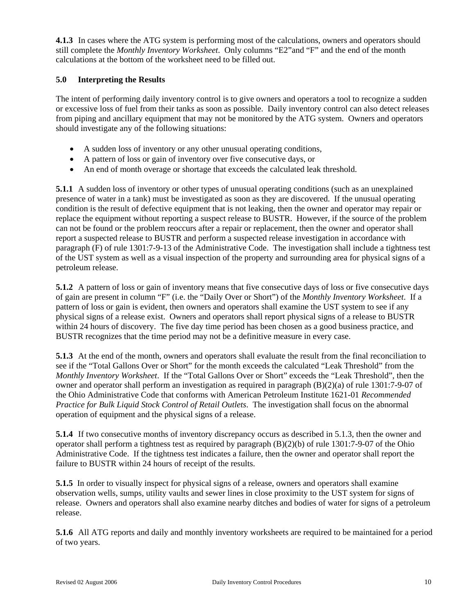**4.1.3** In cases where the ATG system is performing most of the calculations, owners and operators should still complete the *Monthly Inventory Worksheet*. Only columns "E2"and "F" and the end of the month calculations at the bottom of the worksheet need to be filled out.

#### **5.0 Interpreting the Results**

The intent of performing daily inventory control is to give owners and operators a tool to recognize a sudden or excessive loss of fuel from their tanks as soon as possible. Daily inventory control can also detect releases from piping and ancillary equipment that may not be monitored by the ATG system. Owners and operators should investigate any of the following situations:

- A sudden loss of inventory or any other unusual operating conditions,
- A pattern of loss or gain of inventory over five consecutive days, or
- An end of month overage or shortage that exceeds the calculated leak threshold.

**5.1.1** A sudden loss of inventory or other types of unusual operating conditions (such as an unexplained presence of water in a tank) must be investigated as soon as they are discovered. If the unusual operating condition is the result of defective equipment that is not leaking, then the owner and operator may repair or replace the equipment without reporting a suspect release to BUSTR. However, if the source of the problem can not be found or the problem reoccurs after a repair or replacement, then the owner and operator shall report a suspected release to BUSTR and perform a suspected release investigation in accordance with paragraph (F) of rule 1301:7-9-13 of the Administrative Code. The investigation shall include a tightness test of the UST system as well as a visual inspection of the property and surrounding area for physical signs of a petroleum release.

**5.1.2** A pattern of loss or gain of inventory means that five consecutive days of loss or five consecutive days of gain are present in column "F" (i.e. the "Daily Over or Short") of the *Monthly Inventory Worksheet*. If a pattern of loss or gain is evident, then owners and operators shall examine the UST system to see if any physical signs of a release exist. Owners and operators shall report physical signs of a release to BUSTR within 24 hours of discovery. The five day time period has been chosen as a good business practice, and BUSTR recognizes that the time period may not be a definitive measure in every case.

**5.1.3** At the end of the month, owners and operators shall evaluate the result from the final reconciliation to see if the "Total Gallons Over or Short" for the month exceeds the calculated "Leak Threshold" from the *Monthly Inventory Worksheet*. If the "Total Gallons Over or Short" exceeds the "Leak Threshold", then the owner and operator shall perform an investigation as required in paragraph (B)(2)(a) of rule 1301:7-9-07 of the Ohio Administrative Code that conforms with American Petroleum Institute 1621-01 *Recommended Practice for Bulk Liquid Stock Control of Retail Outlets*. The investigation shall focus on the abnormal operation of equipment and the physical signs of a release.

**5.1.4** If two consecutive months of inventory discrepancy occurs as described in 5.1.3, then the owner and operator shall perform a tightness test as required by paragraph (B)(2)(b) of rule 1301:7-9-07 of the Ohio Administrative Code. If the tightness test indicates a failure, then the owner and operator shall report the failure to BUSTR within 24 hours of receipt of the results.

**5.1.5** In order to visually inspect for physical signs of a release, owners and operators shall examine observation wells, sumps, utility vaults and sewer lines in close proximity to the UST system for signs of release. Owners and operators shall also examine nearby ditches and bodies of water for signs of a petroleum release.

**5.1.6** All ATG reports and daily and monthly inventory worksheets are required to be maintained for a period of two years.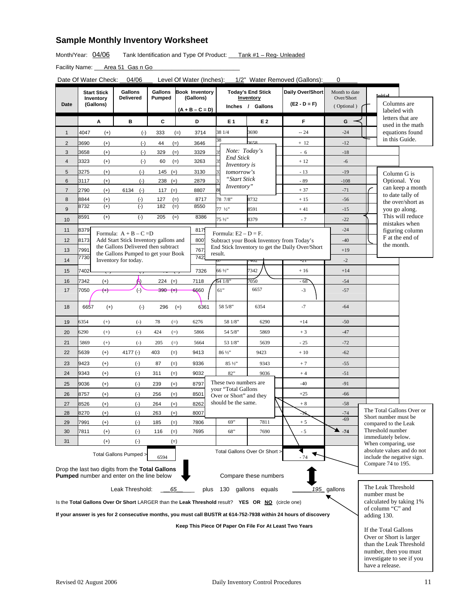# **Sample Monthly Inventory Worksheet**

Month/Year:  $04/06$  Tank Identification and Type Of Product: Tank #1 - Reg- Unleaded

Facility Name: \_\_\_\_ Area 51 Gas n Go\_

Date Of Water Check: \_\_04/06 Level Of Water (Inches): \_\_1/2" Water Removed (Gallons): \_\_\_0

|                                                                                                                  |              | <b>Start Stick</b>     | <b>Gallons</b>                                                    | <b>Gallons</b>         | <b>Book Inventory</b>          |  |                                              | <b>Today's End Stick</b>      | Daily Over/Short                                        | Month to date<br>Over/Short |             | Initial                                |                                                          |
|------------------------------------------------------------------------------------------------------------------|--------------|------------------------|-------------------------------------------------------------------|------------------------|--------------------------------|--|----------------------------------------------|-------------------------------|---------------------------------------------------------|-----------------------------|-------------|----------------------------------------|----------------------------------------------------------|
| Date                                                                                                             |              | Inventory<br>(Gallons) | <b>Delivered</b>                                                  | Pumped                 | (Gallons)                      |  |                                              | Inventory<br>Inches / Gallons | $(E2 - D = F)$                                          | (Optional)                  |             | Columns are                            |                                                          |
|                                                                                                                  |              |                        |                                                                   |                        | $(A + B - C = D)$              |  |                                              |                               |                                                         |                             |             | labeled with                           | letters that are                                         |
|                                                                                                                  |              | Α                      | в                                                                 | C                      | D                              |  | E 1                                          | E 2                           | F                                                       | G                           |             |                                        | used in the math                                         |
| $\mathbf{1}$                                                                                                     | 4047         | $(+)$                  | $(-)$                                                             | 333                    | 3714<br>$(=)$                  |  | 38 1/4<br>38                                 | 3690<br>3658                  | $-24$                                                   | $-24$                       |             | in this Guide.                         | equations found                                          |
| $\overline{2}$                                                                                                   | 3690         | $(+)$                  | $(-)$                                                             | 44                     | $(=)$<br>3646                  |  | Note: Today's                                |                               | $+12$                                                   | $-12$                       |             |                                        |                                                          |
| 3<br>$\overline{\mathbf{4}}$                                                                                     | 3658<br>3323 | $(+)$                  | $(-)$                                                             | 329                    | $(=)$<br>3329<br>$(=)$<br>3263 |  | <b>End Stick</b>                             |                               | - 6<br>$+12$                                            | $-18$<br>$-6$               |             |                                        |                                                          |
|                                                                                                                  |              | $(+)$                  | $(-)$                                                             | 60                     |                                |  | <i>Inventory is</i>                          |                               |                                                         |                             |             |                                        |                                                          |
| 5<br>$6\phantom{1}6$                                                                                             | 3275<br>3117 | $(+)$<br>$(+)$         | $(-)$<br>$(-)$                                                    | 145<br>238             | $(=)$<br>3130<br>$(=)$<br>2879 |  | tomorrow's<br>"Start Stick                   |                               | $-13$<br>- 89                                           | $-19$<br>$-108$             |             | Column G is                            | Optional. You                                            |
| $\overline{7}$                                                                                                   | 2790         | $(+)$                  | 6134<br>$(-)$                                                     | 117 $(=)$              | 8807                           |  | Inventory"                                   |                               | $+37$                                                   | $-71$                       |             |                                        | can keep a month                                         |
| 8                                                                                                                | 8844         | $(+)$                  | $(\text{-})$                                                      | 127                    | $(=)$<br>8717                  |  | 78 7/8"                                      | 8732                          | $+15$                                                   | $-56$                       |             |                                        | to date tally of                                         |
| 9                                                                                                                | 8732         | $(+)$                  | $(-)$                                                             | 182                    | $(=)$<br>8550                  |  | 77 1/2"                                      | 8591                          | $+41$                                                   | $-15$                       |             |                                        | the over/short as<br>you go along.                       |
| 10                                                                                                               | 8591         | $(+)$                  | $(-)$                                                             | 205                    | $(=)$<br>8386                  |  | 75 1/2"                                      | 8379                          | $-7$                                                    | $-22$                       |             |                                        | This will reduce                                         |
| 11                                                                                                               | 8379         |                        |                                                                   |                        | 817                            |  |                                              |                               |                                                         | $-24$                       |             |                                        | mistakes when<br>figuring column                         |
| 12                                                                                                               | 8173         |                        | Formula: $A + B - C = D$<br>Add Start Stick Inventory gallons and |                        | 800                            |  | Formula: $E2 - D = F$ .                      |                               | Subtract your Book Inventory from Today's               | $-40$                       |             |                                        | F at the end of                                          |
| 13                                                                                                               | 7991         |                        | the Gallons Delivered then subtract                               |                        | 767                            |  |                                              |                               | End Stick Inventory to get the Daily Over/Short         | $+19$                       |             | the month.                             |                                                          |
|                                                                                                                  | 7730         |                        | the Gallons Pumped to get your Book<br>Inventory for today.       |                        | 742                            |  | result.                                      |                               |                                                         | $-2$                        |             |                                        |                                                          |
| 14<br>15                                                                                                         | 7402         |                        |                                                                   |                        | 7326                           |  | 66 1/2"                                      | 74UZ<br>7342                  | -21<br>$+16$                                            | $+14$                       |             |                                        |                                                          |
|                                                                                                                  |              |                        |                                                                   |                        |                                |  |                                              |                               |                                                         |                             |             |                                        |                                                          |
| 16<br>17                                                                                                         | 7342<br>7050 | $(+)$<br>$(+)$         | Α<br>$(\cdot)$                                                    | $224 (=)$<br>$390 (=)$ | 7118<br>6660                   |  | 64 1/8'<br>61"                               | 7050<br>6657                  | $-68$<br>$-3$                                           | $-54$<br>$-57$              |             |                                        |                                                          |
|                                                                                                                  |              |                        |                                                                   |                        |                                |  |                                              |                               |                                                         |                             |             |                                        |                                                          |
| 18                                                                                                               | 6657         | $(+)$                  | $(\cdot)$                                                         | 296                    | 6361<br>$(=)$                  |  | 58 5/8"                                      | 6354                          | $-7$                                                    | $-64$                       |             |                                        |                                                          |
| 19                                                                                                               | 6354         | $^{(+)}$               | $\left( -\right)$                                                 | 78                     | $(=)$<br>6276                  |  | 58 1/8"                                      | 6290                          | $+14$                                                   | $-50$                       |             |                                        |                                                          |
| 20                                                                                                               | 6290         | $^{(+)}$               | $\left( -\right)$                                                 | 424                    | $(=)$<br>5866                  |  | 54 5/8"                                      | 5869                          | $+3$                                                    | $-47$                       |             |                                        |                                                          |
| 21                                                                                                               | 5869         | $(+)$                  | $(-)$                                                             | 205                    | $(=)$<br>5664                  |  | 53 1/8"                                      | 5639                          | $-25$                                                   | $-72$                       |             |                                        |                                                          |
| 22                                                                                                               | 5639         | $(+)$                  | 4177 $(-)$                                                        | 403                    | $(=)$<br>9413                  |  | 86 1/2"                                      | 9423                          | $+10$                                                   | $-62$                       |             |                                        |                                                          |
| 23                                                                                                               | 9423         | $(+)$                  | $(-)$                                                             | 87                     | $(=)$<br>9336                  |  | 85 1/2"                                      | 9343                          | $+7$                                                    | $-55$                       |             |                                        |                                                          |
| 24                                                                                                               | 9343         | $(+)$                  | $(-)$                                                             | 311                    | $(=)$<br>9032                  |  | 82"                                          | 9036                          | $+4$                                                    | $-51$                       |             |                                        |                                                          |
| 25                                                                                                               | 9036         | $(+)$                  | $(-)$                                                             | 239                    | 8797<br>$(=)$                  |  | These two numbers are<br>your "Total Gallons |                               | $-40$                                                   | $-91$                       |             |                                        |                                                          |
| 26                                                                                                               | 8757         | $(+)$                  | $(\cdot)$                                                         | 256                    | $(=)$<br>8501                  |  | Over or Short" and they                      |                               | $+25$                                                   | $-66$                       |             |                                        |                                                          |
| 27                                                                                                               | 8526         | $(+)$                  | $(-)$                                                             | 264                    | $(=)$<br>8262                  |  | should be the same.                          |                               | $+8$                                                    | $-58$                       |             |                                        |                                                          |
| 28                                                                                                               | 8270         | $(+)$                  | $(-)$                                                             | 263                    | $(=)$<br>8007                  |  |                                              |                               | -16                                                     | $-74$                       |             | Short number must be                   | The Total Gallons Over or                                |
| 29                                                                                                               | 7991         | $(+)$                  | $(-)$                                                             | 185                    | $(=)$<br>7806                  |  | 69"                                          | 7811                          | $+5$                                                    | $-69$                       |             | compared to the Leak                   |                                                          |
| 30                                                                                                               | 7811         | $(+)$                  | $(\cdot)$                                                         | 116                    | $(=)$<br>7695                  |  | 68                                           | 7690                          | - 5                                                     | - 74                        |             | Threshold number<br>immediately below. |                                                          |
| 31                                                                                                               |              | $^{(+)}$               | $(\cdot)$                                                         |                        | $(=)$                          |  |                                              |                               |                                                         |                             |             | When comparing, use                    |                                                          |
|                                                                                                                  |              |                        | Total Gallons Pumped >                                            | 6594                   |                                |  | Total Gallons Over Or Short >                |                               | $-74$                                                   |                             |             |                                        | absolute values and do not<br>include the negative sign. |
|                                                                                                                  |              |                        | Drop the last two digits from the Total Gallons                   |                        |                                |  |                                              |                               |                                                         |                             |             | Compare 74 to 195.                     |                                                          |
|                                                                                                                  |              |                        | <b>Pumped</b> number and enter on the line below                  |                        |                                |  |                                              | Compare these numbers         |                                                         |                             |             |                                        |                                                          |
| Leak Threshold:<br>195_gallons<br>65<br>plus<br>130<br>gallons equals                                            |              |                        |                                                                   |                        |                                |  |                                              |                               |                                                         | The Leak Threshold          |             |                                        |                                                          |
| Is the Total Gallons Over Or Short LARGER than the Leak Threshold result? YES OR NO (circle one)                 |              |                        |                                                                   |                        |                                |  |                                              |                               |                                                         | number must be              |             |                                        |                                                          |
|                                                                                                                  |              |                        |                                                                   |                        |                                |  |                                              |                               |                                                         |                             |             | of column "C" and                      | calculated by taking 1%                                  |
| If your answer is yes for 2 consecutive months, you must call BUSTR at 614-752-7938 within 24 hours of discovery |              |                        |                                                                   |                        |                                |  |                                              |                               |                                                         |                             | adding 130. |                                        |                                                          |
|                                                                                                                  |              |                        |                                                                   |                        |                                |  |                                              |                               | Keep This Piece Of Paper On File For At Least Two Years |                             |             | If the Total Gallons                   |                                                          |
|                                                                                                                  |              |                        |                                                                   |                        |                                |  |                                              |                               |                                                         | Over or Short is larger     |             |                                        |                                                          |
|                                                                                                                  |              |                        |                                                                   |                        |                                |  |                                              |                               |                                                         |                             |             |                                        | than the Leak Threshold                                  |
|                                                                                                                  |              |                        |                                                                   |                        |                                |  |                                              |                               |                                                         |                             |             | number, then you must                  | investigate to see if you                                |
|                                                                                                                  |              |                        |                                                                   |                        |                                |  |                                              |                               |                                                         |                             |             | have a release.                        |                                                          |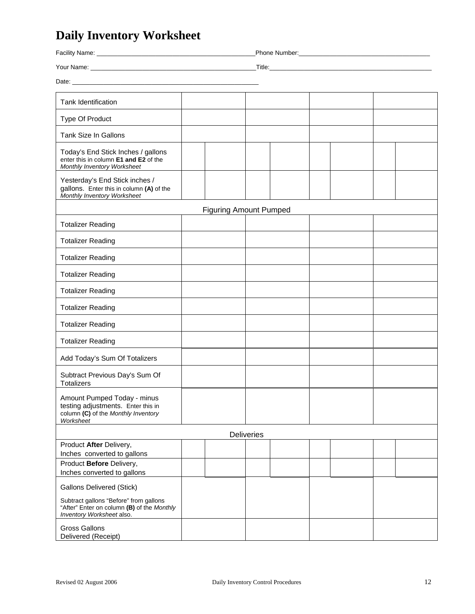# **Daily Inventory Worksheet**

| Facility Name: The Contract of the Contract of the Contract of the Contract of the Contract of the Contract of                                                                                                                      |  |                               |  |            |  |  |  |  |  |
|-------------------------------------------------------------------------------------------------------------------------------------------------------------------------------------------------------------------------------------|--|-------------------------------|--|------------|--|--|--|--|--|
|                                                                                                                                                                                                                                     |  |                               |  |            |  |  |  |  |  |
| Date: <u>Date:</u> 2004 and 2006 and 2007 and 2007 and 2008 and 2007 and 2008 and 2008 and 2008 and 2008 and 2008 and 2008 and 2008 and 2008 and 2008 and 2008 and 2008 and 2008 and 2008 and 2008 and 2008 and 2008 and 2008 and 2 |  |                               |  |            |  |  |  |  |  |
|                                                                                                                                                                                                                                     |  |                               |  |            |  |  |  |  |  |
| <b>Tank Identification</b>                                                                                                                                                                                                          |  |                               |  |            |  |  |  |  |  |
| Type Of Product                                                                                                                                                                                                                     |  |                               |  |            |  |  |  |  |  |
| <b>Tank Size In Gallons</b>                                                                                                                                                                                                         |  |                               |  |            |  |  |  |  |  |
| Today's End Stick Inches / gallons<br>enter this in column E1 and E2 of the<br>Monthly Inventory Worksheet                                                                                                                          |  |                               |  |            |  |  |  |  |  |
| Yesterday's End Stick inches /<br>gallons. Enter this in column (A) of the<br>Monthly Inventory Worksheet                                                                                                                           |  |                               |  |            |  |  |  |  |  |
|                                                                                                                                                                                                                                     |  | <b>Figuring Amount Pumped</b> |  |            |  |  |  |  |  |
| <b>Totalizer Reading</b>                                                                                                                                                                                                            |  |                               |  |            |  |  |  |  |  |
| <b>Totalizer Reading</b>                                                                                                                                                                                                            |  |                               |  |            |  |  |  |  |  |
| <b>Totalizer Reading</b>                                                                                                                                                                                                            |  |                               |  |            |  |  |  |  |  |
| <b>Totalizer Reading</b>                                                                                                                                                                                                            |  |                               |  |            |  |  |  |  |  |
| <b>Totalizer Reading</b>                                                                                                                                                                                                            |  |                               |  |            |  |  |  |  |  |
| <b>Totalizer Reading</b>                                                                                                                                                                                                            |  |                               |  |            |  |  |  |  |  |
| <b>Totalizer Reading</b>                                                                                                                                                                                                            |  |                               |  |            |  |  |  |  |  |
| <b>Totalizer Reading</b>                                                                                                                                                                                                            |  |                               |  |            |  |  |  |  |  |
| Add Today's Sum Of Totalizers                                                                                                                                                                                                       |  |                               |  |            |  |  |  |  |  |
| Subtract Previous Day's Sum Of<br><b>Totalizers</b>                                                                                                                                                                                 |  |                               |  |            |  |  |  |  |  |
| Amount Pumped Today - minus<br>testing adjustments. Enter this in<br>column (C) of the Monthly Inventory<br>Worksheet                                                                                                               |  |                               |  |            |  |  |  |  |  |
|                                                                                                                                                                                                                                     |  |                               |  | Deliveries |  |  |  |  |  |
| Product After Delivery,<br>Inches converted to gallons<br>Product Before Delivery,<br>Inches converted to gallons                                                                                                                   |  |                               |  |            |  |  |  |  |  |
|                                                                                                                                                                                                                                     |  |                               |  |            |  |  |  |  |  |
| <b>Gallons Delivered (Stick)</b><br>Subtract gallons "Before" from gallons<br>"After" Enter on column (B) of the Monthly<br>Inventory Worksheet also.                                                                               |  |                               |  |            |  |  |  |  |  |
| <b>Gross Gallons</b><br>Delivered (Receipt)                                                                                                                                                                                         |  |                               |  |            |  |  |  |  |  |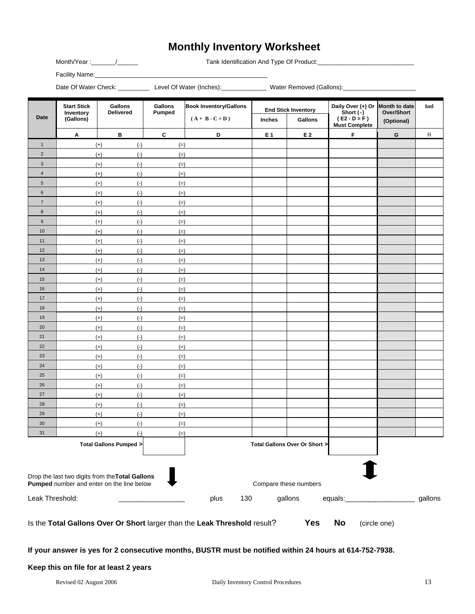# **Monthly Inventory Worksheet**

Month/Year :\_\_\_\_\_\_\_/\_\_\_\_\_\_ Tank Identification And Type Of Product:\_\_\_\_\_\_\_\_\_\_\_\_\_\_\_\_\_\_\_\_\_\_\_\_\_\_\_\_

Facility Name:\_\_\_\_\_\_\_\_\_\_\_\_\_\_\_\_\_\_\_\_\_\_\_\_\_\_\_\_\_\_\_\_\_\_\_\_\_\_\_\_\_\_\_\_\_\_\_\_\_\_

Date Of Water Check: \_\_\_\_\_\_\_\_\_\_\_ Level Of Water (Inches): \_\_\_\_\_\_\_\_\_\_\_\_\_\_\_ Water Removed (Gallons): \_\_\_\_\_\_\_\_\_\_\_

| Date                                                                                                                      | <b>Start Stick</b><br>Inventory<br>(Gallons)                                                                  | Gallons<br><b>Delivered</b>               | Gallons<br><b>Pumped</b> | <b>Book Inventory/Gallons</b> | <b>End Stick Inventory</b><br>$(A + B - C = D)$ |                       | Daily Over $(+)$ Or Month to date<br>Short $(-)$<br>$(E2 - D = F)$ | Over/Short  | Intl    |  |  |  |
|---------------------------------------------------------------------------------------------------------------------------|---------------------------------------------------------------------------------------------------------------|-------------------------------------------|--------------------------|-------------------------------|-------------------------------------------------|-----------------------|--------------------------------------------------------------------|-------------|---------|--|--|--|
|                                                                                                                           |                                                                                                               |                                           |                          |                               | Inches                                          | Gallons               | <b>Must Complete</b>                                               | (Optional)  |         |  |  |  |
|                                                                                                                           | Α                                                                                                             | в                                         | $\mathbf c$              | D                             | E 1                                             | E 2                   | F                                                                  | $\mathbf G$ | $\,$ H  |  |  |  |
| $\mathbf{1}$                                                                                                              |                                                                                                               | $(+)$<br>$(\cdot)$                        | $(=)$                    |                               |                                                 |                       |                                                                    |             |         |  |  |  |
| $\overline{2}$                                                                                                            |                                                                                                               | $(+)$<br>$(-)$                            | $(=)$                    |                               |                                                 |                       |                                                                    |             |         |  |  |  |
| $\ensuremath{\mathsf{3}}$                                                                                                 |                                                                                                               | $(-)$<br>$(+)$                            | $(=)$                    |                               |                                                 |                       |                                                                    |             |         |  |  |  |
| $\sqrt{4}$                                                                                                                |                                                                                                               | $(\cdot)$<br>$(+)$                        | $(=)$                    |                               |                                                 |                       |                                                                    |             |         |  |  |  |
| $5\phantom{.0}$                                                                                                           |                                                                                                               | $(+)$<br>$(-)$                            | $(=)$                    |                               |                                                 |                       |                                                                    |             |         |  |  |  |
| $\,6\,$                                                                                                                   |                                                                                                               | $(-)$<br>$(+)$                            | $(=)$                    |                               |                                                 |                       |                                                                    |             |         |  |  |  |
| $\overline{7}$                                                                                                            |                                                                                                               | $(-)$<br>$(+)$                            | $(=)$                    |                               |                                                 |                       |                                                                    |             |         |  |  |  |
| 8                                                                                                                         |                                                                                                               | $(+)$<br>$(\cdot)$                        | $(=)$                    |                               |                                                 |                       |                                                                    |             |         |  |  |  |
| $\boldsymbol{9}$                                                                                                          |                                                                                                               | $(+)$<br>$(-)$                            | $(=)$                    |                               |                                                 |                       |                                                                    |             |         |  |  |  |
| 10                                                                                                                        |                                                                                                               | $(-)$<br>$(+)$                            | $(=)$                    |                               |                                                 |                       |                                                                    |             |         |  |  |  |
| 11                                                                                                                        |                                                                                                               | $(-)$<br>$(+)$                            | $(=)$                    |                               |                                                 |                       |                                                                    |             |         |  |  |  |
| 12                                                                                                                        |                                                                                                               | $(+)$<br>$(-)$                            | $(=)$                    |                               |                                                 |                       |                                                                    |             |         |  |  |  |
| 13                                                                                                                        |                                                                                                               | $(+)$<br>$(-)$                            | $(=)$                    |                               |                                                 |                       |                                                                    |             |         |  |  |  |
| 14                                                                                                                        |                                                                                                               | $(\cdot)$<br>$(+)$                        | $(=)$                    |                               |                                                 |                       |                                                                    |             |         |  |  |  |
| 15                                                                                                                        |                                                                                                               | $(+)$<br>$(-)$                            | $(=)$                    |                               |                                                 |                       |                                                                    |             |         |  |  |  |
| 16                                                                                                                        |                                                                                                               | $(\cdot)$<br>$(+)$                        | $(=)$                    |                               |                                                 |                       |                                                                    |             |         |  |  |  |
| 17                                                                                                                        |                                                                                                               | $(-)$<br>$(+)$                            | $(=)$                    |                               |                                                 |                       |                                                                    |             |         |  |  |  |
| 18                                                                                                                        |                                                                                                               | $(-)$<br>$(+)$                            | $(=)$                    |                               |                                                 |                       |                                                                    |             |         |  |  |  |
| 19                                                                                                                        |                                                                                                               | $(+)$<br>$(-)$                            | $(=)$                    |                               |                                                 |                       |                                                                    |             |         |  |  |  |
| 20                                                                                                                        |                                                                                                               | $(+)$<br>$(-)$                            | $(=)$                    |                               |                                                 |                       |                                                                    |             |         |  |  |  |
| 21                                                                                                                        |                                                                                                               | $(\cdot)$<br>$(+)$                        | $(=)$                    |                               |                                                 |                       |                                                                    |             |         |  |  |  |
| 22                                                                                                                        |                                                                                                               | $(+)$<br>$(-)$                            | $(=)$                    |                               |                                                 |                       |                                                                    |             |         |  |  |  |
| 23                                                                                                                        |                                                                                                               | $(\cdot)$<br>$(+)$                        | $(=)$                    |                               |                                                 |                       |                                                                    |             |         |  |  |  |
| 24                                                                                                                        |                                                                                                               | $(-)$<br>$(+)$                            | $(=)$                    |                               |                                                 |                       |                                                                    |             |         |  |  |  |
| 25                                                                                                                        |                                                                                                               | $\left( \cdot \right)$<br>$(+)$           | $(=)$                    |                               |                                                 |                       |                                                                    |             |         |  |  |  |
| 26                                                                                                                        |                                                                                                               | $(+)$<br>$(\cdot)$                        | $(=)$                    |                               |                                                 |                       |                                                                    |             |         |  |  |  |
| 27                                                                                                                        |                                                                                                               | $(+)$<br>$\left( \cdot \right)$           | $(=)$                    |                               |                                                 |                       |                                                                    |             |         |  |  |  |
| 28                                                                                                                        |                                                                                                               | $(\cdot)$<br>$(+)$                        | $(=)$                    |                               |                                                 |                       |                                                                    |             |         |  |  |  |
| 29                                                                                                                        |                                                                                                               | $\left( \cdot \right)$<br>$(+)$           | $(=)$                    |                               |                                                 |                       |                                                                    |             |         |  |  |  |
| 30                                                                                                                        |                                                                                                               | $(-)$<br>$(+)$                            | $(=)$                    |                               |                                                 |                       |                                                                    |             |         |  |  |  |
| 31                                                                                                                        |                                                                                                               | $(+)$<br>$(\cdot)$                        | $(=)$                    |                               |                                                 |                       |                                                                    |             |         |  |  |  |
| <b>Total Gallons Pumped &gt;</b><br><b>Total Gallons Over Or Short</b><br>Drop the last two digits from the Total Gallons |                                                                                                               |                                           |                          |                               |                                                 |                       |                                                                    |             |         |  |  |  |
|                                                                                                                           |                                                                                                               | Pumped number and enter on the line below |                          |                               |                                                 | Compare these numbers |                                                                    |             |         |  |  |  |
| Leak Threshold:                                                                                                           |                                                                                                               |                                           |                          | 130<br>plus                   |                                                 | gallons               | equals:                                                            |             | gallons |  |  |  |
|                                                                                                                           | <b>Yes</b><br>Is the Total Gallons Over Or Short larger than the Leak Threshold result?<br>No<br>(circle one) |                                           |                          |                               |                                                 |                       |                                                                    |             |         |  |  |  |

**If your answer is yes for 2 consecutive months, BUSTR must be notified within 24 hours at 614-752-7938.** 

#### **Keep this on file for at least 2 years**